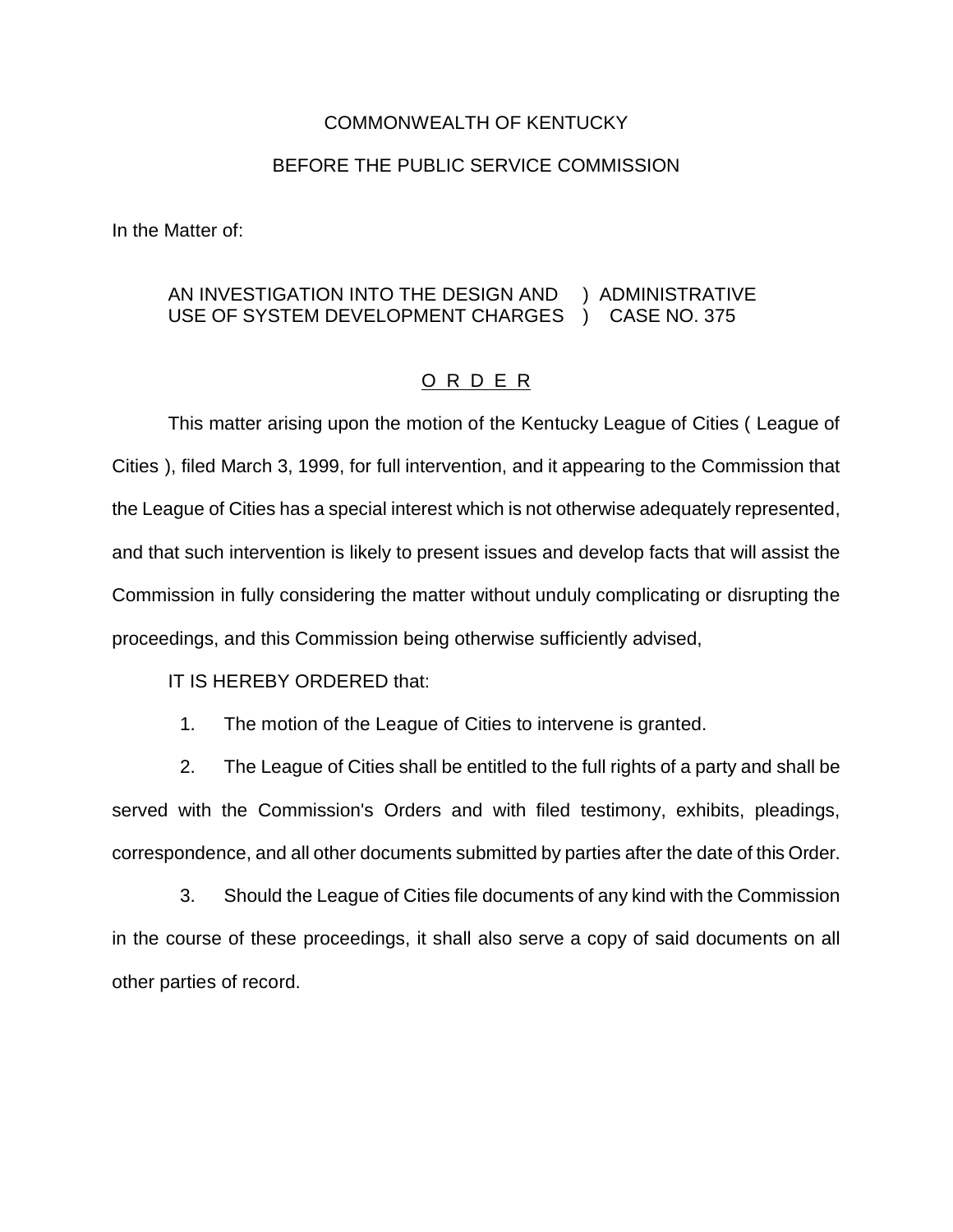## COMMONWEALTH OF KENTUCKY

## BEFORE THE PUBLIC SERVICE COMMISSION

In the Matter of:

## AN INVESTIGATION INTO THE DESIGN AND ) ADMINISTRATIVE USE OF SYSTEM DEVELOPMENT CHARGES ) CASE NO. 375

## O R D E R

This matter arising upon the motion of the Kentucky League of Cities ( League of Cities ), filed March 3, 1999, for full intervention, and it appearing to the Commission that the League of Cities has a special interest which is not otherwise adequately represented, and that such intervention is likely to present issues and develop facts that will assist the Commission in fully considering the matter without unduly complicating or disrupting the proceedings, and this Commission being otherwise sufficiently advised,

IT IS HEREBY ORDERED that:

1. The motion of the League of Cities to intervene is granted.

2. The League of Cities shall be entitled to the full rights of a party and shall be served with the Commission's Orders and with filed testimony, exhibits, pleadings, correspondence, and all other documents submitted by parties after the date of this Order.

3. Should the League of Cities file documents of any kind with the Commission in the course of these proceedings, it shall also serve a copy of said documents on all other parties of record.